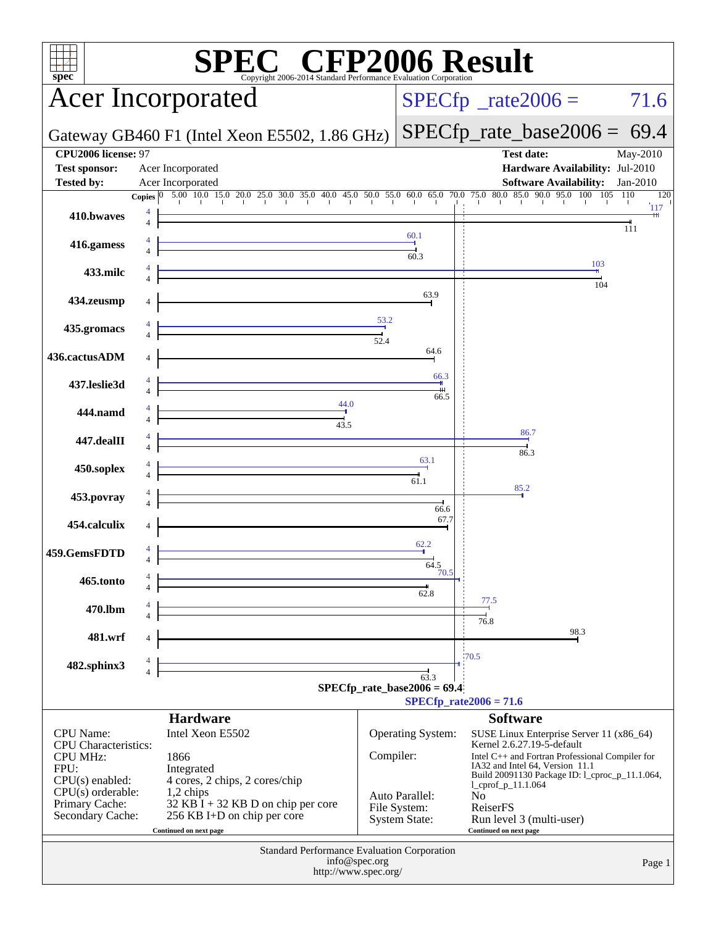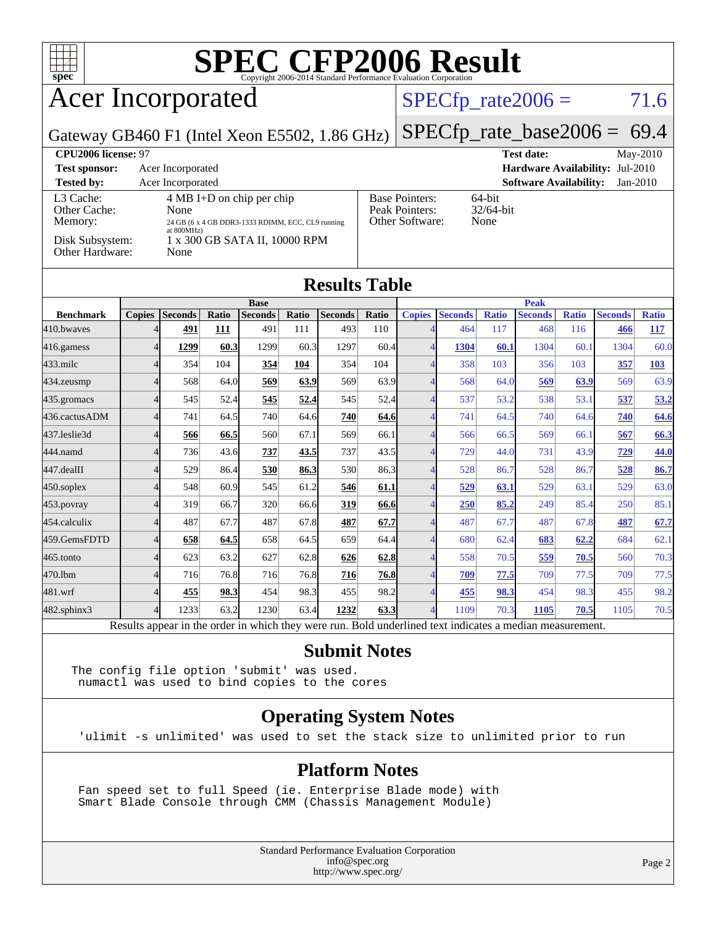

## Acer Incorporated

#### $SPECTp_rate2006 = 71.6$

Gateway GB460 F1 (Intel Xeon E5502, 1.86 GHz)

[SPECfp\\_rate\\_base2006 =](http://www.spec.org/auto/cpu2006/Docs/result-fields.html#SPECfpratebase2006) 69.4

| CPU <sub>2006</sub> license: 97      |                                                                                                                   |                                                            | $Mav-2010$<br><b>Test date:</b>             |
|--------------------------------------|-------------------------------------------------------------------------------------------------------------------|------------------------------------------------------------|---------------------------------------------|
| <b>Test sponsor:</b>                 | Acer Incorporated                                                                                                 |                                                            | <b>Hardware Availability: Jul-2010</b>      |
| <b>Tested by:</b>                    | Acer Incorporated                                                                                                 |                                                            | <b>Software Availability:</b><br>$Jan-2010$ |
| L3 Cache:<br>Other Cache:<br>Memory: | $4 \text{ MB I+D}$ on chip per chip<br>None<br>24 GB (6 x 4 GB DDR3-1333 RDIMM, ECC, CL9 running<br>at $800MHz$ ) | <b>Base Pointers:</b><br>Peak Pointers:<br>Other Software: | $64$ -bit<br>$32/64$ -bit<br>None           |
| Disk Subsystem:<br>Other Hardware:   | 1 x 300 GB SATA II, 10000 RPM<br>None                                                                             |                                                            |                                             |

| <b>Results Table</b> |                |                 |        |                |       |                |               |               |                 |              |                |              |                |              |
|----------------------|----------------|-----------------|--------|----------------|-------|----------------|---------------|---------------|-----------------|--------------|----------------|--------------|----------------|--------------|
|                      | <b>Base</b>    |                 |        |                |       | <b>Peak</b>    |               |               |                 |              |                |              |                |              |
| <b>Benchmark</b>     | <b>Copies</b>  | <b>Seconds</b>  | Ratio  | <b>Seconds</b> | Ratio | <b>Seconds</b> | Ratio         | <b>Copies</b> | <b>Seconds</b>  | <b>Ratio</b> | <b>Seconds</b> | <b>Ratio</b> | <b>Seconds</b> | <b>Ratio</b> |
| 410.bwayes           |                | 491             | 111    | 491            | 111   | 493            | 110           |               | 464             | 117          | 468            | 116          | 466            | <u> 117</u>  |
| 416.gamess           | $\overline{4}$ | 1299            | 60.3   | 1299           | 60.3  | 1297           | 60.4          |               | 1304            | 60.1         | 1304           | 60.1         | 1304           | 60.0         |
| $433$ .milc          | $\overline{4}$ | 354             | 104    | 354            | 104   | 354            | 104           | 4             | 358             | 103          | 356            | 103          | 357            | 103          |
| 434.zeusmp           | $\overline{4}$ | 568             | 64.0   | 569            | 63.9  | 569            | 63.9          | 4             | 568             | 64.0         | 569            | 63.9         | 569            | 63.9         |
| 435.gromacs          | 4              | 545             | 52.4   | 545            | 52.4  | 545            | 52.4          | 4             | 537             | 53.2         | 538            | 53.1         | 537            | 53.2         |
| 436.cactusADM        | Δ              | 741             | 64.5   | 740            | 64.6  | 740            | 64.6          |               | 741             | 64.5         | 740            | 64.6         | 740            | 64.6         |
| 437.leslie3d         | $\Delta$       | 566             | 66.5   | 560            | 67.1  | 569            | 66.1          |               | 566             | 66.5         | 569            | 66.1         | 567            | 66.3         |
| 444.namd             | 4              | 736             | 43.6   | 737            | 43.5  | 737            | 43.5          | 4             | 729             | 44.0         | 731            | 43.9         | 729            | 44.0         |
| 447.dealII           | $\overline{4}$ | 529             | 86.4   | 530            | 86.3  | 530            | 86.3          | 4             | 528             | 86.7         | 528            | 86.7         | 528            | 86.7         |
| 450.soplex           | 4              | 548             | 60.9   | 545            | 61.2  | 546            | 61.1          | 4             | 529             | 63.1         | 529            | 63.1         | 529            | 63.0         |
| $453$ .povray        | Δ              | 319             | 66.7   | 320            | 66.6  | 319            | 66.6          |               | <b>250</b>      | 85.2         | 249            | 85.4         | 250            | 85.1         |
| 454.calculix         | $\overline{4}$ | 487             | 67.7   | 487            | 67.8  | 487            | 67.7          |               | 487             | 67.7         | 487            | 67.8         | 487            | 67.7         |
| 459.GemsFDTD         | $\overline{4}$ | 658             | 64.5   | 658            | 64.5  | 659            | 64.4          | 4             | 680             | 62.4         | 683            | 62.2         | 684            | 62.1         |
| 465.tonto            | $\overline{4}$ | 623             | 63.2   | 627            | 62.8  | 626            | 62.8          | 4             | 558             | 70.5         | 559            | 70.5         | 560            | 70.3         |
| 470.1bm              | 4              | 716             | 76.8   | 716            | 76.8  | 716            | 76.8          | 4             | 709             | 77.5         | 709            | 77.5         | 709            | 77.5         |
| 481.wrf              |                | 455             | 98.3   | 454            | 98.3  | 455            | 98.2          |               | 455             | 98.3         | 454            | 98.3         | 455            | 98.2         |
| 482.sphinx3          | $\overline{4}$ | 1233            | 63.2   | 1230           | 63.4  | 1232           | 63.3          |               | 1109            | 70.3         | 1105           | 70.5         | 1105           | 70.5         |
|                      |                | $\cdot$ $\cdot$ | $\sim$ | $\cdots$       |       |                | $\sim$ $\sim$ |               | $\cdot$ $\cdot$ |              |                |              |                |              |

Results appear in the [order in which they were run.](http://www.spec.org/auto/cpu2006/Docs/result-fields.html#RunOrder) Bold underlined text [indicates a median measurement.](http://www.spec.org/auto/cpu2006/Docs/result-fields.html#Median)

#### **[Submit Notes](http://www.spec.org/auto/cpu2006/Docs/result-fields.html#SubmitNotes)**

The config file option 'submit' was used. numactl was used to bind copies to the cores

#### **[Operating System Notes](http://www.spec.org/auto/cpu2006/Docs/result-fields.html#OperatingSystemNotes)**

'ulimit -s unlimited' was used to set the stack size to unlimited prior to run

#### **[Platform Notes](http://www.spec.org/auto/cpu2006/Docs/result-fields.html#PlatformNotes)**

 Fan speed set to full Speed (ie. Enterprise Blade mode) with Smart Blade Console through CMM (Chassis Management Module)

> Standard Performance Evaluation Corporation [info@spec.org](mailto:info@spec.org) <http://www.spec.org/>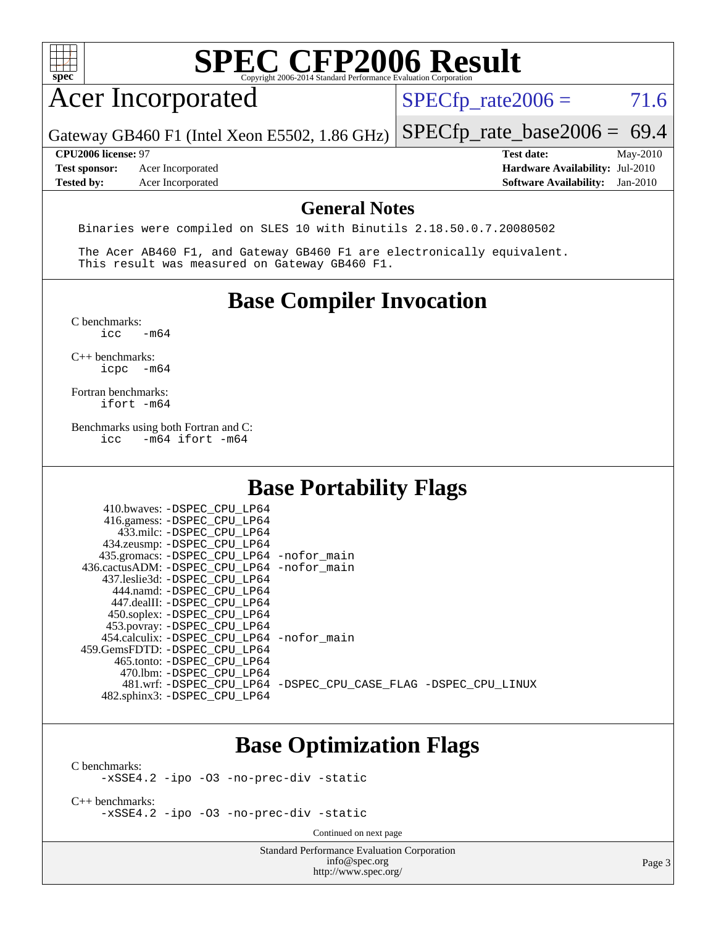

## Acer Incorporated

 $SPECTp_rate2006 = 71.6$ 

Gateway GB460 F1 (Intel Xeon E5502, 1.86 GHz) [SPECfp\\_rate\\_base2006 =](http://www.spec.org/auto/cpu2006/Docs/result-fields.html#SPECfpratebase2006) 69.4

**[Tested by:](http://www.spec.org/auto/cpu2006/Docs/result-fields.html#Testedby)** Acer Incorporated **[Software Availability:](http://www.spec.org/auto/cpu2006/Docs/result-fields.html#SoftwareAvailability)** Jan-2010

**[CPU2006 license:](http://www.spec.org/auto/cpu2006/Docs/result-fields.html#CPU2006license)** 97 **[Test date:](http://www.spec.org/auto/cpu2006/Docs/result-fields.html#Testdate)** May-2010 **[Test sponsor:](http://www.spec.org/auto/cpu2006/Docs/result-fields.html#Testsponsor)** Acer Incorporated **[Hardware Availability:](http://www.spec.org/auto/cpu2006/Docs/result-fields.html#HardwareAvailability)** Jul-2010

#### **[General Notes](http://www.spec.org/auto/cpu2006/Docs/result-fields.html#GeneralNotes)**

Binaries were compiled on SLES 10 with Binutils 2.18.50.0.7.20080502

 The Acer AB460 F1, and Gateway GB460 F1 are electronically equivalent. This result was measured on Gateway GB460 F1.

### **[Base Compiler Invocation](http://www.spec.org/auto/cpu2006/Docs/result-fields.html#BaseCompilerInvocation)**

 $C$  benchmarks:<br>icc  $-m64$ 

[C++ benchmarks:](http://www.spec.org/auto/cpu2006/Docs/result-fields.html#CXXbenchmarks) [icpc -m64](http://www.spec.org/cpu2006/results/res2010q3/cpu2006-20100608-11645.flags.html#user_CXXbase_intel_icpc_64bit_bedb90c1146cab66620883ef4f41a67e)

[Fortran benchmarks](http://www.spec.org/auto/cpu2006/Docs/result-fields.html#Fortranbenchmarks): [ifort -m64](http://www.spec.org/cpu2006/results/res2010q3/cpu2006-20100608-11645.flags.html#user_FCbase_intel_ifort_64bit_ee9d0fb25645d0210d97eb0527dcc06e)

[Benchmarks using both Fortran and C](http://www.spec.org/auto/cpu2006/Docs/result-fields.html#BenchmarksusingbothFortranandC): [icc -m64](http://www.spec.org/cpu2006/results/res2010q3/cpu2006-20100608-11645.flags.html#user_CC_FCbase_intel_icc_64bit_0b7121f5ab7cfabee23d88897260401c) [ifort -m64](http://www.spec.org/cpu2006/results/res2010q3/cpu2006-20100608-11645.flags.html#user_CC_FCbase_intel_ifort_64bit_ee9d0fb25645d0210d97eb0527dcc06e)

### **[Base Portability Flags](http://www.spec.org/auto/cpu2006/Docs/result-fields.html#BasePortabilityFlags)**

| 410.bwaves: -DSPEC CPU LP64<br>416.gamess: -DSPEC_CPU_LP64<br>433.milc: -DSPEC CPU LP64<br>434.zeusmp: - DSPEC_CPU_LP64<br>435.gromacs: -DSPEC_CPU_LP64 -nofor_main<br>436.cactusADM: - DSPEC CPU LP64 - nofor main<br>437.leslie3d: -DSPEC CPU LP64<br>444.namd: -DSPEC CPU LP64<br>447.dealII: -DSPEC CPU LP64 |                                                                |
|------------------------------------------------------------------------------------------------------------------------------------------------------------------------------------------------------------------------------------------------------------------------------------------------------------------|----------------------------------------------------------------|
| 450.soplex: -DSPEC_CPU_LP64<br>453.povray: - DSPEC_CPU_LP64<br>454.calculix: - DSPEC CPU LP64 - nofor main<br>459. GemsFDTD: - DSPEC CPU LP64<br>465.tonto: - DSPEC CPU LP64                                                                                                                                     |                                                                |
| 470.1bm: - DSPEC CPU LP64<br>482.sphinx3: -DSPEC_CPU_LP64                                                                                                                                                                                                                                                        | 481.wrf: -DSPEC CPU_LP64 -DSPEC_CPU_CASE_FLAG -DSPEC_CPU_LINUX |

### **[Base Optimization Flags](http://www.spec.org/auto/cpu2006/Docs/result-fields.html#BaseOptimizationFlags)**

[C benchmarks](http://www.spec.org/auto/cpu2006/Docs/result-fields.html#Cbenchmarks):

[-xSSE4.2](http://www.spec.org/cpu2006/results/res2010q3/cpu2006-20100608-11645.flags.html#user_CCbase_f-xSSE42_f91528193cf0b216347adb8b939d4107) [-ipo](http://www.spec.org/cpu2006/results/res2010q3/cpu2006-20100608-11645.flags.html#user_CCbase_f-ipo) [-O3](http://www.spec.org/cpu2006/results/res2010q3/cpu2006-20100608-11645.flags.html#user_CCbase_f-O3) [-no-prec-div](http://www.spec.org/cpu2006/results/res2010q3/cpu2006-20100608-11645.flags.html#user_CCbase_f-no-prec-div) [-static](http://www.spec.org/cpu2006/results/res2010q3/cpu2006-20100608-11645.flags.html#user_CCbase_f-static)

[C++ benchmarks:](http://www.spec.org/auto/cpu2006/Docs/result-fields.html#CXXbenchmarks) [-xSSE4.2](http://www.spec.org/cpu2006/results/res2010q3/cpu2006-20100608-11645.flags.html#user_CXXbase_f-xSSE42_f91528193cf0b216347adb8b939d4107) [-ipo](http://www.spec.org/cpu2006/results/res2010q3/cpu2006-20100608-11645.flags.html#user_CXXbase_f-ipo) [-O3](http://www.spec.org/cpu2006/results/res2010q3/cpu2006-20100608-11645.flags.html#user_CXXbase_f-O3) [-no-prec-div](http://www.spec.org/cpu2006/results/res2010q3/cpu2006-20100608-11645.flags.html#user_CXXbase_f-no-prec-div) [-static](http://www.spec.org/cpu2006/results/res2010q3/cpu2006-20100608-11645.flags.html#user_CXXbase_f-static)

Continued on next page

Standard Performance Evaluation Corporation [info@spec.org](mailto:info@spec.org) <http://www.spec.org/>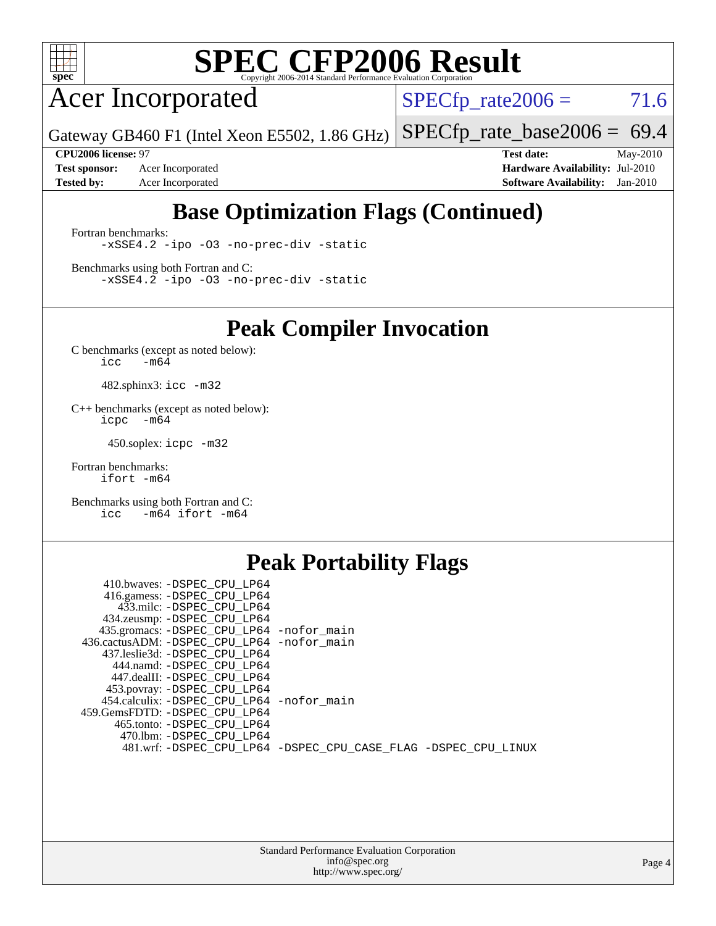

Acer Incorporated

 $SPECTp_rate2006 = 71.6$ 

Gateway GB460 F1 (Intel Xeon E5502, 1.86 GHz) [SPECfp\\_rate\\_base2006 =](http://www.spec.org/auto/cpu2006/Docs/result-fields.html#SPECfpratebase2006) 69.4

**[Test sponsor:](http://www.spec.org/auto/cpu2006/Docs/result-fields.html#Testsponsor)** Acer Incorporated **[Hardware Availability:](http://www.spec.org/auto/cpu2006/Docs/result-fields.html#HardwareAvailability)** Jul-2010 **[Tested by:](http://www.spec.org/auto/cpu2006/Docs/result-fields.html#Testedby)** Acer Incorporated **[Software Availability:](http://www.spec.org/auto/cpu2006/Docs/result-fields.html#SoftwareAvailability)** Jan-2010

**[CPU2006 license:](http://www.spec.org/auto/cpu2006/Docs/result-fields.html#CPU2006license)** 97 **[Test date:](http://www.spec.org/auto/cpu2006/Docs/result-fields.html#Testdate)** May-2010

## **[Base Optimization Flags \(Continued\)](http://www.spec.org/auto/cpu2006/Docs/result-fields.html#BaseOptimizationFlags)**

[Fortran benchmarks](http://www.spec.org/auto/cpu2006/Docs/result-fields.html#Fortranbenchmarks): [-xSSE4.2](http://www.spec.org/cpu2006/results/res2010q3/cpu2006-20100608-11645.flags.html#user_FCbase_f-xSSE42_f91528193cf0b216347adb8b939d4107) [-ipo](http://www.spec.org/cpu2006/results/res2010q3/cpu2006-20100608-11645.flags.html#user_FCbase_f-ipo) [-O3](http://www.spec.org/cpu2006/results/res2010q3/cpu2006-20100608-11645.flags.html#user_FCbase_f-O3) [-no-prec-div](http://www.spec.org/cpu2006/results/res2010q3/cpu2006-20100608-11645.flags.html#user_FCbase_f-no-prec-div) [-static](http://www.spec.org/cpu2006/results/res2010q3/cpu2006-20100608-11645.flags.html#user_FCbase_f-static)

[Benchmarks using both Fortran and C](http://www.spec.org/auto/cpu2006/Docs/result-fields.html#BenchmarksusingbothFortranandC): [-xSSE4.2](http://www.spec.org/cpu2006/results/res2010q3/cpu2006-20100608-11645.flags.html#user_CC_FCbase_f-xSSE42_f91528193cf0b216347adb8b939d4107) [-ipo](http://www.spec.org/cpu2006/results/res2010q3/cpu2006-20100608-11645.flags.html#user_CC_FCbase_f-ipo) [-O3](http://www.spec.org/cpu2006/results/res2010q3/cpu2006-20100608-11645.flags.html#user_CC_FCbase_f-O3) [-no-prec-div](http://www.spec.org/cpu2006/results/res2010q3/cpu2006-20100608-11645.flags.html#user_CC_FCbase_f-no-prec-div) [-static](http://www.spec.org/cpu2006/results/res2010q3/cpu2006-20100608-11645.flags.html#user_CC_FCbase_f-static)

**[Peak Compiler Invocation](http://www.spec.org/auto/cpu2006/Docs/result-fields.html#PeakCompilerInvocation)**

[C benchmarks \(except as noted below\)](http://www.spec.org/auto/cpu2006/Docs/result-fields.html#Cbenchmarksexceptasnotedbelow):  $\text{icc}$  -m64

482.sphinx3: [icc -m32](http://www.spec.org/cpu2006/results/res2010q3/cpu2006-20100608-11645.flags.html#user_peakCCLD482_sphinx3_intel_icc_32bit_a6a621f8d50482236b970c6ac5f55f93)

[C++ benchmarks \(except as noted below\):](http://www.spec.org/auto/cpu2006/Docs/result-fields.html#CXXbenchmarksexceptasnotedbelow) [icpc -m64](http://www.spec.org/cpu2006/results/res2010q3/cpu2006-20100608-11645.flags.html#user_CXXpeak_intel_icpc_64bit_bedb90c1146cab66620883ef4f41a67e)

450.soplex: [icpc -m32](http://www.spec.org/cpu2006/results/res2010q3/cpu2006-20100608-11645.flags.html#user_peakCXXLD450_soplex_intel_icpc_32bit_4e5a5ef1a53fd332b3c49e69c3330699)

[Fortran benchmarks](http://www.spec.org/auto/cpu2006/Docs/result-fields.html#Fortranbenchmarks): [ifort -m64](http://www.spec.org/cpu2006/results/res2010q3/cpu2006-20100608-11645.flags.html#user_FCpeak_intel_ifort_64bit_ee9d0fb25645d0210d97eb0527dcc06e)

[Benchmarks using both Fortran and C](http://www.spec.org/auto/cpu2006/Docs/result-fields.html#BenchmarksusingbothFortranandC): [icc -m64](http://www.spec.org/cpu2006/results/res2010q3/cpu2006-20100608-11645.flags.html#user_CC_FCpeak_intel_icc_64bit_0b7121f5ab7cfabee23d88897260401c) [ifort -m64](http://www.spec.org/cpu2006/results/res2010q3/cpu2006-20100608-11645.flags.html#user_CC_FCpeak_intel_ifort_64bit_ee9d0fb25645d0210d97eb0527dcc06e)

### **[Peak Portability Flags](http://www.spec.org/auto/cpu2006/Docs/result-fields.html#PeakPortabilityFlags)**

| 410.bwaves: -DSPEC CPU LP64                |                                                                |
|--------------------------------------------|----------------------------------------------------------------|
| 416.gamess: -DSPEC_CPU_LP64                |                                                                |
| 433.milc: -DSPEC CPU LP64                  |                                                                |
| 434.zeusmp: -DSPEC_CPU_LP64                |                                                                |
| 435.gromacs: -DSPEC_CPU_LP64 -nofor_main   |                                                                |
| 436.cactusADM: -DSPEC CPU LP64 -nofor main |                                                                |
| 437.leslie3d: -DSPEC CPU LP64              |                                                                |
| 444.namd: -DSPEC CPU LP64                  |                                                                |
| 447.dealII: -DSPEC CPU LP64                |                                                                |
| 453.povray: -DSPEC_CPU_LP64                |                                                                |
| 454.calculix: -DSPEC_CPU_LP64 -nofor_main  |                                                                |
| 459.GemsFDTD: -DSPEC CPU LP64              |                                                                |
| 465.tonto: -DSPEC CPU LP64                 |                                                                |
| 470.1bm: - DSPEC CPU LP64                  |                                                                |
|                                            | 481.wrf: -DSPEC_CPU_LP64 -DSPEC_CPU_CASE_FLAG -DSPEC_CPU_LINUX |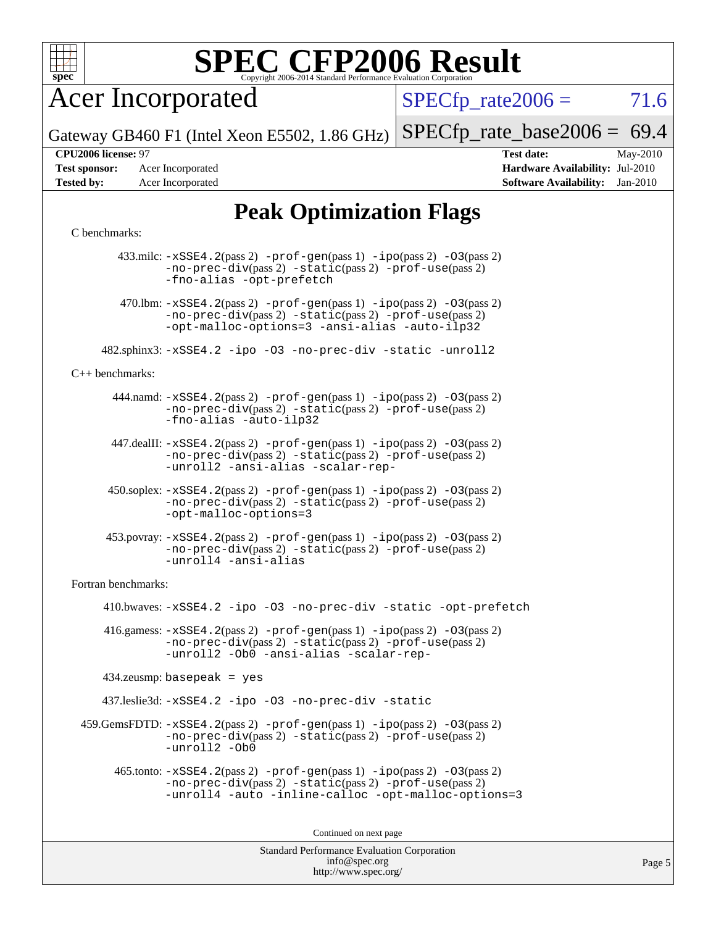

Acer Incorporated

 $SPECTp\_rate2006 = 71.6$ 

Gateway GB460 F1 (Intel Xeon E5502, 1.86 GHz)  $SPECTp_rate_base2006 = 69.4$ 

**[Test sponsor:](http://www.spec.org/auto/cpu2006/Docs/result-fields.html#Testsponsor)** Acer Incorporated **[Hardware Availability:](http://www.spec.org/auto/cpu2006/Docs/result-fields.html#HardwareAvailability)** Jul-2010 **[Tested by:](http://www.spec.org/auto/cpu2006/Docs/result-fields.html#Testedby)** Acer Incorporated **[Software Availability:](http://www.spec.org/auto/cpu2006/Docs/result-fields.html#SoftwareAvailability)** Jan-2010

**[CPU2006 license:](http://www.spec.org/auto/cpu2006/Docs/result-fields.html#CPU2006license)** 97 **[Test date:](http://www.spec.org/auto/cpu2006/Docs/result-fields.html#Testdate)** May-2010

## **[Peak Optimization Flags](http://www.spec.org/auto/cpu2006/Docs/result-fields.html#PeakOptimizationFlags)**

#### [C benchmarks](http://www.spec.org/auto/cpu2006/Docs/result-fields.html#Cbenchmarks):

 433.milc: [-xSSE4.2](http://www.spec.org/cpu2006/results/res2010q3/cpu2006-20100608-11645.flags.html#user_peakPASS2_CFLAGSPASS2_LDFLAGS433_milc_f-xSSE42_f91528193cf0b216347adb8b939d4107)(pass 2) [-prof-gen](http://www.spec.org/cpu2006/results/res2010q3/cpu2006-20100608-11645.flags.html#user_peakPASS1_CFLAGSPASS1_LDFLAGS433_milc_prof_gen_e43856698f6ca7b7e442dfd80e94a8fc)(pass 1) [-ipo](http://www.spec.org/cpu2006/results/res2010q3/cpu2006-20100608-11645.flags.html#user_peakPASS2_CFLAGSPASS2_LDFLAGS433_milc_f-ipo)(pass 2) [-O3](http://www.spec.org/cpu2006/results/res2010q3/cpu2006-20100608-11645.flags.html#user_peakPASS2_CFLAGSPASS2_LDFLAGS433_milc_f-O3)(pass 2) [-no-prec-div](http://www.spec.org/cpu2006/results/res2010q3/cpu2006-20100608-11645.flags.html#user_peakPASS2_CFLAGSPASS2_LDFLAGS433_milc_f-no-prec-div)(pass 2) [-static](http://www.spec.org/cpu2006/results/res2010q3/cpu2006-20100608-11645.flags.html#user_peakPASS2_CFLAGSPASS2_LDFLAGS433_milc_f-static)(pass 2) [-prof-use](http://www.spec.org/cpu2006/results/res2010q3/cpu2006-20100608-11645.flags.html#user_peakPASS2_CFLAGSPASS2_LDFLAGS433_milc_prof_use_bccf7792157ff70d64e32fe3e1250b55)(pass 2) [-fno-alias](http://www.spec.org/cpu2006/results/res2010q3/cpu2006-20100608-11645.flags.html#user_peakOPTIMIZE433_milc_f-no-alias_694e77f6c5a51e658e82ccff53a9e63a) [-opt-prefetch](http://www.spec.org/cpu2006/results/res2010q3/cpu2006-20100608-11645.flags.html#user_peakOPTIMIZE433_milc_f-opt-prefetch) 470.1bm:  $-xSSE4$ . 2(pass 2)  $-prof-gen(pass 1) -ipo(pass 2) -O3(pass 2)$  $-prof-gen(pass 1) -ipo(pass 2) -O3(pass 2)$  $-prof-gen(pass 1) -ipo(pass 2) -O3(pass 2)$  $-prof-gen(pass 1) -ipo(pass 2) -O3(pass 2)$  $-prof-gen(pass 1) -ipo(pass 2) -O3(pass 2)$  $-prof-gen(pass 1) -ipo(pass 2) -O3(pass 2)$ [-no-prec-div](http://www.spec.org/cpu2006/results/res2010q3/cpu2006-20100608-11645.flags.html#user_peakPASS2_CFLAGSPASS2_LDFLAGS470_lbm_f-no-prec-div)(pass 2) [-static](http://www.spec.org/cpu2006/results/res2010q3/cpu2006-20100608-11645.flags.html#user_peakPASS2_CFLAGSPASS2_LDFLAGS470_lbm_f-static)(pass 2) [-prof-use](http://www.spec.org/cpu2006/results/res2010q3/cpu2006-20100608-11645.flags.html#user_peakPASS2_CFLAGSPASS2_LDFLAGS470_lbm_prof_use_bccf7792157ff70d64e32fe3e1250b55)(pass 2) [-opt-malloc-options=3](http://www.spec.org/cpu2006/results/res2010q3/cpu2006-20100608-11645.flags.html#user_peakOPTIMIZE470_lbm_f-opt-malloc-options_13ab9b803cf986b4ee62f0a5998c2238) [-ansi-alias](http://www.spec.org/cpu2006/results/res2010q3/cpu2006-20100608-11645.flags.html#user_peakOPTIMIZE470_lbm_f-ansi-alias) [-auto-ilp32](http://www.spec.org/cpu2006/results/res2010q3/cpu2006-20100608-11645.flags.html#user_peakCOPTIMIZE470_lbm_f-auto-ilp32) 482.sphinx3: [-xSSE4.2](http://www.spec.org/cpu2006/results/res2010q3/cpu2006-20100608-11645.flags.html#user_peakOPTIMIZE482_sphinx3_f-xSSE42_f91528193cf0b216347adb8b939d4107) [-ipo](http://www.spec.org/cpu2006/results/res2010q3/cpu2006-20100608-11645.flags.html#user_peakOPTIMIZE482_sphinx3_f-ipo) [-O3](http://www.spec.org/cpu2006/results/res2010q3/cpu2006-20100608-11645.flags.html#user_peakOPTIMIZE482_sphinx3_f-O3) [-no-prec-div](http://www.spec.org/cpu2006/results/res2010q3/cpu2006-20100608-11645.flags.html#user_peakOPTIMIZE482_sphinx3_f-no-prec-div) [-static](http://www.spec.org/cpu2006/results/res2010q3/cpu2006-20100608-11645.flags.html#user_peakOPTIMIZE482_sphinx3_f-static) [-unroll2](http://www.spec.org/cpu2006/results/res2010q3/cpu2006-20100608-11645.flags.html#user_peakCOPTIMIZE482_sphinx3_f-unroll_784dae83bebfb236979b41d2422d7ec2) [C++ benchmarks:](http://www.spec.org/auto/cpu2006/Docs/result-fields.html#CXXbenchmarks) 444.namd: [-xSSE4.2](http://www.spec.org/cpu2006/results/res2010q3/cpu2006-20100608-11645.flags.html#user_peakPASS2_CXXFLAGSPASS2_LDFLAGS444_namd_f-xSSE42_f91528193cf0b216347adb8b939d4107)(pass 2) [-prof-gen](http://www.spec.org/cpu2006/results/res2010q3/cpu2006-20100608-11645.flags.html#user_peakPASS1_CXXFLAGSPASS1_LDFLAGS444_namd_prof_gen_e43856698f6ca7b7e442dfd80e94a8fc)(pass 1) [-ipo](http://www.spec.org/cpu2006/results/res2010q3/cpu2006-20100608-11645.flags.html#user_peakPASS2_CXXFLAGSPASS2_LDFLAGS444_namd_f-ipo)(pass 2) [-O3](http://www.spec.org/cpu2006/results/res2010q3/cpu2006-20100608-11645.flags.html#user_peakPASS2_CXXFLAGSPASS2_LDFLAGS444_namd_f-O3)(pass 2) [-no-prec-div](http://www.spec.org/cpu2006/results/res2010q3/cpu2006-20100608-11645.flags.html#user_peakPASS2_CXXFLAGSPASS2_LDFLAGS444_namd_f-no-prec-div)(pass 2) [-static](http://www.spec.org/cpu2006/results/res2010q3/cpu2006-20100608-11645.flags.html#user_peakPASS2_CXXFLAGSPASS2_LDFLAGS444_namd_f-static)(pass 2) [-prof-use](http://www.spec.org/cpu2006/results/res2010q3/cpu2006-20100608-11645.flags.html#user_peakPASS2_CXXFLAGSPASS2_LDFLAGS444_namd_prof_use_bccf7792157ff70d64e32fe3e1250b55)(pass 2) [-fno-alias](http://www.spec.org/cpu2006/results/res2010q3/cpu2006-20100608-11645.flags.html#user_peakCXXOPTIMIZE444_namd_f-no-alias_694e77f6c5a51e658e82ccff53a9e63a) [-auto-ilp32](http://www.spec.org/cpu2006/results/res2010q3/cpu2006-20100608-11645.flags.html#user_peakCXXOPTIMIZE444_namd_f-auto-ilp32) 447.dealII: [-xSSE4.2](http://www.spec.org/cpu2006/results/res2010q3/cpu2006-20100608-11645.flags.html#user_peakPASS2_CXXFLAGSPASS2_LDFLAGS447_dealII_f-xSSE42_f91528193cf0b216347adb8b939d4107)(pass 2) [-prof-gen](http://www.spec.org/cpu2006/results/res2010q3/cpu2006-20100608-11645.flags.html#user_peakPASS1_CXXFLAGSPASS1_LDFLAGS447_dealII_prof_gen_e43856698f6ca7b7e442dfd80e94a8fc)(pass 1) [-ipo](http://www.spec.org/cpu2006/results/res2010q3/cpu2006-20100608-11645.flags.html#user_peakPASS2_CXXFLAGSPASS2_LDFLAGS447_dealII_f-ipo)(pass 2) [-O3](http://www.spec.org/cpu2006/results/res2010q3/cpu2006-20100608-11645.flags.html#user_peakPASS2_CXXFLAGSPASS2_LDFLAGS447_dealII_f-O3)(pass 2) [-no-prec-div](http://www.spec.org/cpu2006/results/res2010q3/cpu2006-20100608-11645.flags.html#user_peakPASS2_CXXFLAGSPASS2_LDFLAGS447_dealII_f-no-prec-div)(pass 2) [-static](http://www.spec.org/cpu2006/results/res2010q3/cpu2006-20100608-11645.flags.html#user_peakPASS2_CXXFLAGSPASS2_LDFLAGS447_dealII_f-static)(pass 2) [-prof-use](http://www.spec.org/cpu2006/results/res2010q3/cpu2006-20100608-11645.flags.html#user_peakPASS2_CXXFLAGSPASS2_LDFLAGS447_dealII_prof_use_bccf7792157ff70d64e32fe3e1250b55)(pass 2) [-unroll2](http://www.spec.org/cpu2006/results/res2010q3/cpu2006-20100608-11645.flags.html#user_peakCXXOPTIMIZE447_dealII_f-unroll_784dae83bebfb236979b41d2422d7ec2) [-ansi-alias](http://www.spec.org/cpu2006/results/res2010q3/cpu2006-20100608-11645.flags.html#user_peakCXXOPTIMIZE447_dealII_f-ansi-alias) [-scalar-rep-](http://www.spec.org/cpu2006/results/res2010q3/cpu2006-20100608-11645.flags.html#user_peakCXXOPTIMIZE447_dealII_f-disablescalarrep_abbcad04450fb118e4809c81d83c8a1d) 450.soplex: [-xSSE4.2](http://www.spec.org/cpu2006/results/res2010q3/cpu2006-20100608-11645.flags.html#user_peakPASS2_CXXFLAGSPASS2_LDFLAGS450_soplex_f-xSSE42_f91528193cf0b216347adb8b939d4107)(pass 2) [-prof-gen](http://www.spec.org/cpu2006/results/res2010q3/cpu2006-20100608-11645.flags.html#user_peakPASS1_CXXFLAGSPASS1_LDFLAGS450_soplex_prof_gen_e43856698f6ca7b7e442dfd80e94a8fc)(pass 1) [-ipo](http://www.spec.org/cpu2006/results/res2010q3/cpu2006-20100608-11645.flags.html#user_peakPASS2_CXXFLAGSPASS2_LDFLAGS450_soplex_f-ipo)(pass 2) [-O3](http://www.spec.org/cpu2006/results/res2010q3/cpu2006-20100608-11645.flags.html#user_peakPASS2_CXXFLAGSPASS2_LDFLAGS450_soplex_f-O3)(pass 2) [-no-prec-div](http://www.spec.org/cpu2006/results/res2010q3/cpu2006-20100608-11645.flags.html#user_peakPASS2_CXXFLAGSPASS2_LDFLAGS450_soplex_f-no-prec-div)(pass 2) [-static](http://www.spec.org/cpu2006/results/res2010q3/cpu2006-20100608-11645.flags.html#user_peakPASS2_CXXFLAGSPASS2_LDFLAGS450_soplex_f-static)(pass 2) [-prof-use](http://www.spec.org/cpu2006/results/res2010q3/cpu2006-20100608-11645.flags.html#user_peakPASS2_CXXFLAGSPASS2_LDFLAGS450_soplex_prof_use_bccf7792157ff70d64e32fe3e1250b55)(pass 2) [-opt-malloc-options=3](http://www.spec.org/cpu2006/results/res2010q3/cpu2006-20100608-11645.flags.html#user_peakOPTIMIZE450_soplex_f-opt-malloc-options_13ab9b803cf986b4ee62f0a5998c2238) 453.povray: [-xSSE4.2](http://www.spec.org/cpu2006/results/res2010q3/cpu2006-20100608-11645.flags.html#user_peakPASS2_CXXFLAGSPASS2_LDFLAGS453_povray_f-xSSE42_f91528193cf0b216347adb8b939d4107)(pass 2) [-prof-gen](http://www.spec.org/cpu2006/results/res2010q3/cpu2006-20100608-11645.flags.html#user_peakPASS1_CXXFLAGSPASS1_LDFLAGS453_povray_prof_gen_e43856698f6ca7b7e442dfd80e94a8fc)(pass 1) [-ipo](http://www.spec.org/cpu2006/results/res2010q3/cpu2006-20100608-11645.flags.html#user_peakPASS2_CXXFLAGSPASS2_LDFLAGS453_povray_f-ipo)(pass 2) [-O3](http://www.spec.org/cpu2006/results/res2010q3/cpu2006-20100608-11645.flags.html#user_peakPASS2_CXXFLAGSPASS2_LDFLAGS453_povray_f-O3)(pass 2) [-no-prec-div](http://www.spec.org/cpu2006/results/res2010q3/cpu2006-20100608-11645.flags.html#user_peakPASS2_CXXFLAGSPASS2_LDFLAGS453_povray_f-no-prec-div)(pass 2) [-static](http://www.spec.org/cpu2006/results/res2010q3/cpu2006-20100608-11645.flags.html#user_peakPASS2_CXXFLAGSPASS2_LDFLAGS453_povray_f-static)(pass 2) [-prof-use](http://www.spec.org/cpu2006/results/res2010q3/cpu2006-20100608-11645.flags.html#user_peakPASS2_CXXFLAGSPASS2_LDFLAGS453_povray_prof_use_bccf7792157ff70d64e32fe3e1250b55)(pass 2) [-unroll4](http://www.spec.org/cpu2006/results/res2010q3/cpu2006-20100608-11645.flags.html#user_peakCXXOPTIMIZE453_povray_f-unroll_4e5e4ed65b7fd20bdcd365bec371b81f) [-ansi-alias](http://www.spec.org/cpu2006/results/res2010q3/cpu2006-20100608-11645.flags.html#user_peakCXXOPTIMIZE453_povray_f-ansi-alias) [Fortran benchmarks](http://www.spec.org/auto/cpu2006/Docs/result-fields.html#Fortranbenchmarks): 410.bwaves: [-xSSE4.2](http://www.spec.org/cpu2006/results/res2010q3/cpu2006-20100608-11645.flags.html#user_peakOPTIMIZE410_bwaves_f-xSSE42_f91528193cf0b216347adb8b939d4107) [-ipo](http://www.spec.org/cpu2006/results/res2010q3/cpu2006-20100608-11645.flags.html#user_peakOPTIMIZE410_bwaves_f-ipo) [-O3](http://www.spec.org/cpu2006/results/res2010q3/cpu2006-20100608-11645.flags.html#user_peakOPTIMIZE410_bwaves_f-O3) [-no-prec-div](http://www.spec.org/cpu2006/results/res2010q3/cpu2006-20100608-11645.flags.html#user_peakOPTIMIZE410_bwaves_f-no-prec-div) [-static](http://www.spec.org/cpu2006/results/res2010q3/cpu2006-20100608-11645.flags.html#user_peakOPTIMIZE410_bwaves_f-static) [-opt-prefetch](http://www.spec.org/cpu2006/results/res2010q3/cpu2006-20100608-11645.flags.html#user_peakOPTIMIZE410_bwaves_f-opt-prefetch) 416.gamess:  $-xSSE4$ . 2(pass 2)  $-prof-gen(pass 1) -ipo(pass 2) -O3(pass 2)$  $-prof-gen(pass 1) -ipo(pass 2) -O3(pass 2)$  $-prof-gen(pass 1) -ipo(pass 2) -O3(pass 2)$  $-prof-gen(pass 1) -ipo(pass 2) -O3(pass 2)$  $-prof-gen(pass 1) -ipo(pass 2) -O3(pass 2)$  $-prof-gen(pass 1) -ipo(pass 2) -O3(pass 2)$ [-no-prec-div](http://www.spec.org/cpu2006/results/res2010q3/cpu2006-20100608-11645.flags.html#user_peakPASS2_FFLAGSPASS2_LDFLAGS416_gamess_f-no-prec-div)(pass 2) [-static](http://www.spec.org/cpu2006/results/res2010q3/cpu2006-20100608-11645.flags.html#user_peakPASS2_FFLAGSPASS2_LDFLAGS416_gamess_f-static)(pass 2) [-prof-use](http://www.spec.org/cpu2006/results/res2010q3/cpu2006-20100608-11645.flags.html#user_peakPASS2_FFLAGSPASS2_LDFLAGS416_gamess_prof_use_bccf7792157ff70d64e32fe3e1250b55)(pass 2) [-unroll2](http://www.spec.org/cpu2006/results/res2010q3/cpu2006-20100608-11645.flags.html#user_peakOPTIMIZE416_gamess_f-unroll_784dae83bebfb236979b41d2422d7ec2) [-Ob0](http://www.spec.org/cpu2006/results/res2010q3/cpu2006-20100608-11645.flags.html#user_peakOPTIMIZE416_gamess_f-Ob_n_fbe6f6428adb7d4b74b1e99bb2444c2d) [-ansi-alias](http://www.spec.org/cpu2006/results/res2010q3/cpu2006-20100608-11645.flags.html#user_peakOPTIMIZE416_gamess_f-ansi-alias) [-scalar-rep-](http://www.spec.org/cpu2006/results/res2010q3/cpu2006-20100608-11645.flags.html#user_peakOPTIMIZE416_gamess_f-disablescalarrep_abbcad04450fb118e4809c81d83c8a1d) 434.zeusmp: basepeak = yes 437.leslie3d: [-xSSE4.2](http://www.spec.org/cpu2006/results/res2010q3/cpu2006-20100608-11645.flags.html#user_peakOPTIMIZE437_leslie3d_f-xSSE42_f91528193cf0b216347adb8b939d4107) [-ipo](http://www.spec.org/cpu2006/results/res2010q3/cpu2006-20100608-11645.flags.html#user_peakOPTIMIZE437_leslie3d_f-ipo) [-O3](http://www.spec.org/cpu2006/results/res2010q3/cpu2006-20100608-11645.flags.html#user_peakOPTIMIZE437_leslie3d_f-O3) [-no-prec-div](http://www.spec.org/cpu2006/results/res2010q3/cpu2006-20100608-11645.flags.html#user_peakOPTIMIZE437_leslie3d_f-no-prec-div) [-static](http://www.spec.org/cpu2006/results/res2010q3/cpu2006-20100608-11645.flags.html#user_peakOPTIMIZE437_leslie3d_f-static)  $459$ .GemsFDTD:  $-xSSE4$ .  $2(pass 2)$  [-prof-gen](http://www.spec.org/cpu2006/results/res2010q3/cpu2006-20100608-11645.flags.html#user_peakPASS1_FFLAGSPASS1_LDFLAGS459_GemsFDTD_prof_gen_e43856698f6ca7b7e442dfd80e94a8fc)(pass 1) [-ipo](http://www.spec.org/cpu2006/results/res2010q3/cpu2006-20100608-11645.flags.html#user_peakPASS2_FFLAGSPASS2_LDFLAGS459_GemsFDTD_f-ipo)(pass 2) -03(pass 2) [-no-prec-div](http://www.spec.org/cpu2006/results/res2010q3/cpu2006-20100608-11645.flags.html#user_peakPASS2_FFLAGSPASS2_LDFLAGS459_GemsFDTD_f-no-prec-div)(pass 2) [-static](http://www.spec.org/cpu2006/results/res2010q3/cpu2006-20100608-11645.flags.html#user_peakPASS2_FFLAGSPASS2_LDFLAGS459_GemsFDTD_f-static)(pass 2) [-prof-use](http://www.spec.org/cpu2006/results/res2010q3/cpu2006-20100608-11645.flags.html#user_peakPASS2_FFLAGSPASS2_LDFLAGS459_GemsFDTD_prof_use_bccf7792157ff70d64e32fe3e1250b55)(pass 2) [-unroll2](http://www.spec.org/cpu2006/results/res2010q3/cpu2006-20100608-11645.flags.html#user_peakOPTIMIZE459_GemsFDTD_f-unroll_784dae83bebfb236979b41d2422d7ec2) [-Ob0](http://www.spec.org/cpu2006/results/res2010q3/cpu2006-20100608-11645.flags.html#user_peakOPTIMIZE459_GemsFDTD_f-Ob_n_fbe6f6428adb7d4b74b1e99bb2444c2d) 465.tonto: [-xSSE4.2](http://www.spec.org/cpu2006/results/res2010q3/cpu2006-20100608-11645.flags.html#user_peakPASS2_FFLAGSPASS2_LDFLAGS465_tonto_f-xSSE42_f91528193cf0b216347adb8b939d4107)(pass 2) [-prof-gen](http://www.spec.org/cpu2006/results/res2010q3/cpu2006-20100608-11645.flags.html#user_peakPASS1_FFLAGSPASS1_LDFLAGS465_tonto_prof_gen_e43856698f6ca7b7e442dfd80e94a8fc)(pass 1) [-ipo](http://www.spec.org/cpu2006/results/res2010q3/cpu2006-20100608-11645.flags.html#user_peakPASS2_FFLAGSPASS2_LDFLAGS465_tonto_f-ipo)(pass 2) [-O3](http://www.spec.org/cpu2006/results/res2010q3/cpu2006-20100608-11645.flags.html#user_peakPASS2_FFLAGSPASS2_LDFLAGS465_tonto_f-O3)(pass 2) [-no-prec-div](http://www.spec.org/cpu2006/results/res2010q3/cpu2006-20100608-11645.flags.html#user_peakPASS2_FFLAGSPASS2_LDFLAGS465_tonto_f-no-prec-div)(pass 2) [-static](http://www.spec.org/cpu2006/results/res2010q3/cpu2006-20100608-11645.flags.html#user_peakPASS2_FFLAGSPASS2_LDFLAGS465_tonto_f-static)(pass 2) [-prof-use](http://www.spec.org/cpu2006/results/res2010q3/cpu2006-20100608-11645.flags.html#user_peakPASS2_FFLAGSPASS2_LDFLAGS465_tonto_prof_use_bccf7792157ff70d64e32fe3e1250b55)(pass 2) [-unroll4](http://www.spec.org/cpu2006/results/res2010q3/cpu2006-20100608-11645.flags.html#user_peakOPTIMIZE465_tonto_f-unroll_4e5e4ed65b7fd20bdcd365bec371b81f) [-auto](http://www.spec.org/cpu2006/results/res2010q3/cpu2006-20100608-11645.flags.html#user_peakOPTIMIZE465_tonto_f-auto) [-inline-calloc](http://www.spec.org/cpu2006/results/res2010q3/cpu2006-20100608-11645.flags.html#user_peakOPTIMIZE465_tonto_f-inline-calloc) [-opt-malloc-options=3](http://www.spec.org/cpu2006/results/res2010q3/cpu2006-20100608-11645.flags.html#user_peakOPTIMIZE465_tonto_f-opt-malloc-options_13ab9b803cf986b4ee62f0a5998c2238) Continued on next page